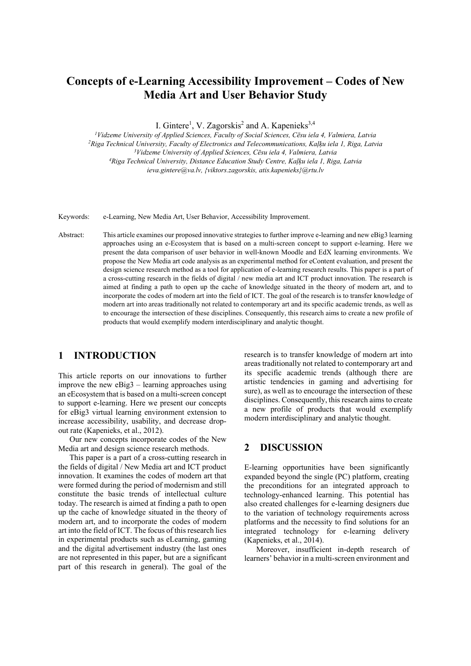# **Concepts of e-Learning Accessibility Improvement – Codes of New Media Art and User Behavior Study**

I. Gintere<sup>1</sup>, V. Zagorskis<sup>2</sup> and A. Kapenieks<sup>3,4</sup>

<sup>1</sup>Vidzeme University of Applied Sciences, Faculty of Social Sciences, Cēsu iela 4, Valmiera, Latvia<br><sup>2</sup>Riga Technical University, Faculty of Electronics and Telecommunications, Kaļķu iela 1, Riga, Latvia<sup>3</sup>Vidzeme Univer *ieva.gintere@va.lv, {viktors.zagorskis, atis.kapenieks}@rtu.lv* 

Keywords: e-Learning, New Media Art, User Behavior, Accessibility Improvement.

Abstract: This article examines our proposed innovative strategies to further improve e-learning and new eBig3 learning approaches using an e-Ecosystem that is based on a multi-screen concept to support e-learning. Here we present the data comparison of user behavior in well-known Moodle and EdX learning environments. We propose the New Media art code analysis as an experimental method for eContent evaluation, and present the design science research method as a tool for application of e-learning research results. This paper is a part of a cross-cutting research in the fields of digital / new media art and ICT product innovation. The research is aimed at finding a path to open up the cache of knowledge situated in the theory of modern art, and to incorporate the codes of modern art into the field of ICT. The goal of the research is to transfer knowledge of modern art into areas traditionally not related to contemporary art and its specific academic trends, as well as to encourage the intersection of these disciplines. Consequently, this research aims to create a new profile of products that would exemplify modern interdisciplinary and analytic thought.

## **1 INTRODUCTION**

This article reports on our innovations to further improve the new eBig3 – learning approaches using an eEcosystem that is based on a multi-screen concept to support e-learning. Here we present our concepts for eBig3 virtual learning environment extension to increase accessibility, usability, and decrease dropout rate (Kapenieks, et al., 2012).

Our new concepts incorporate codes of the New Media art and design science research methods.

This paper is a part of a cross-cutting research in the fields of digital / New Media art and ICT product innovation. It examines the codes of modern art that were formed during the period of modernism and still constitute the basic trends of intellectual culture today. The research is aimed at finding a path to open up the cache of knowledge situated in the theory of modern art, and to incorporate the codes of modern art into the field of ICT. The focus of this research lies in experimental products such as eLearning, gaming and the digital advertisement industry (the last ones are not represented in this paper, but are a significant part of this research in general). The goal of the

research is to transfer knowledge of modern art into areas traditionally not related to contemporary art and its specific academic trends (although there are artistic tendencies in gaming and advertising for sure), as well as to encourage the intersection of these disciplines. Consequently, this research aims to create a new profile of products that would exemplify modern interdisciplinary and analytic thought.

## **2 DISCUSSION**

E-learning opportunities have been significantly expanded beyond the single (PC) platform, creating the preconditions for an integrated approach to technology-enhanced learning. This potential has also created challenges for e-learning designers due to the variation of technology requirements across platforms and the necessity to find solutions for an integrated technology for e-learning delivery (Kapenieks, et al., 2014).

Moreover, insufficient in-depth research of learners' behavior in a multi-screen environment and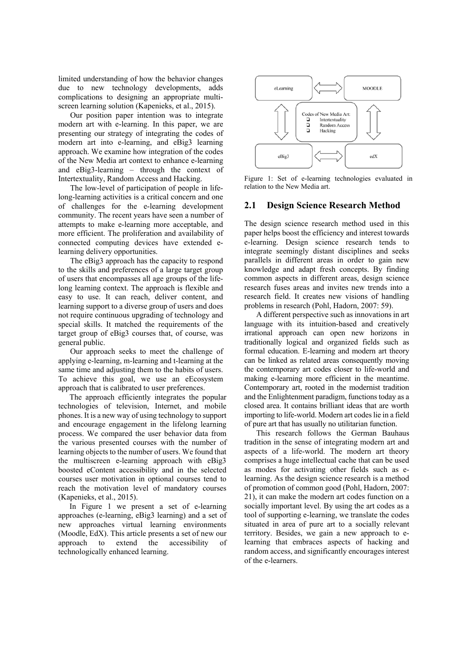limited understanding of how the behavior changes due to new technology developments, adds complications to designing an appropriate multiscreen learning solution (Kapenieks, et al., 2015).

Our position paper intention was to integrate modern art with e-learning. In this paper, we are presenting our strategy of integrating the codes of modern art into e-learning, and eBig3 learning approach. We examine how integration of the codes of the New Media art context to enhance e-learning and eBig3-learning – through the context of Intertextuality, Random Access and Hacking.

The low-level of participation of people in lifelong-learning activities is a critical concern and one of challenges for the e-learning development community. The recent years have seen a number of attempts to make e-learning more acceptable, and more efficient. The proliferation and availability of connected computing devices have extended elearning delivery opportunities.

The eBig3 approach has the capacity to respond to the skills and preferences of a large target group of users that encompasses all age groups of the lifelong learning context. The approach is flexible and easy to use. It can reach, deliver content, and learning support to a diverse group of users and does not require continuous upgrading of technology and special skills. It matched the requirements of the target group of eBig3 courses that, of course, was general public.

Our approach seeks to meet the challenge of applying e-learning, m-learning and t-learning at the same time and adjusting them to the habits of users. To achieve this goal, we use an eEcosystem approach that is calibrated to user preferences.

The approach efficiently integrates the popular technologies of television, Internet, and mobile phones. It is a new way of using technology to support and encourage engagement in the lifelong learning process. We compared the user behavior data from the various presented courses with the number of learning objects to the number of users. We found that the multiscreen e-learning approach with eBig3 boosted eContent accessibility and in the selected courses user motivation in optional courses tend to reach the motivation level of mandatory courses (Kapenieks, et al., 2015).

In Figure 1 we present a set of e-learning approaches (e-learning, eBig3 learning) and a set of new approaches virtual learning environments (Moodle, EdX). This article presents a set of new our<br>approach to extend the accessibility of approach to extend the accessibility of technologically enhanced learning.



Figure 1: Set of e-learning technologies evaluated in relation to the New Media art.

#### **2.1 Design Science Research Method**

The design science research method used in this paper helps boost the efficiency and interest towards e-learning. Design science research tends to integrate seemingly distant disciplines and seeks parallels in different areas in order to gain new knowledge and adapt fresh concepts. By finding common aspects in different areas, design science research fuses areas and invites new trends into a research field. It creates new visions of handling problems in research (Pohl, Hadorn, 2007: 59).

A different perspective such as innovations in art language with its intuition-based and creatively irrational approach can open new horizons in traditionally logical and organized fields such as formal education. E-learning and modern art theory can be linked as related areas consequently moving the contemporary art codes closer to life-world and making e-learning more efficient in the meantime. Contemporary art, rooted in the modernist tradition and the Enlightenment paradigm, functions today as a closed area. It contains brilliant ideas that are worth importing to life-world. Modern art codes lie in a field of pure art that has usually no utilitarian function.

This research follows the German Bauhaus tradition in the sense of integrating modern art and aspects of a life-world. The modern art theory comprises a huge intellectual cache that can be used as modes for activating other fields such as elearning. As the design science research is a method of promotion of common good (Pohl, Hadorn, 2007: 21), it can make the modern art codes function on a socially important level. By using the art codes as a tool of supporting e-learning, we translate the codes situated in area of pure art to a socially relevant territory. Besides, we gain a new approach to elearning that embraces aspects of hacking and random access, and significantly encourages interest of the e-learners.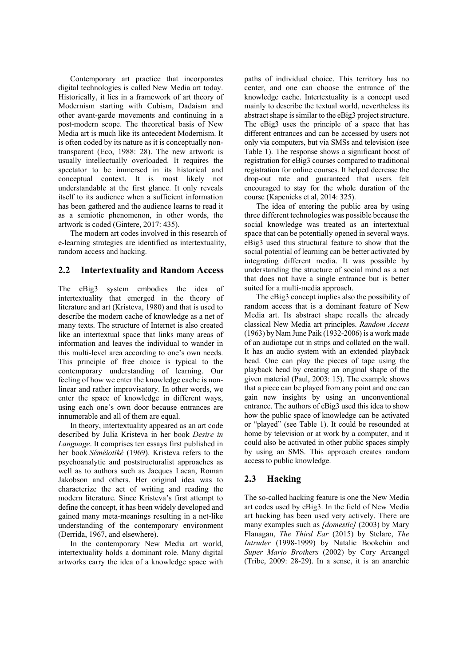Contemporary art practice that incorporates digital technologies is called New Media art today. Historically, it lies in a framework of art theory of Modernism starting with Cubism, Dadaism and other avant-garde movements and continuing in a post-modern scope. The theoretical basis of New Media art is much like its antecedent Modernism. It is often coded by its nature as it is conceptually nontransparent (Eco, 1988: 28). The new artwork is usually intellectually overloaded. It requires the spectator to be immersed in its historical and conceptual context. It is most likely not understandable at the first glance. It only reveals itself to its audience when a sufficient information has been gathered and the audience learns to read it as a semiotic phenomenon, in other words, the artwork is coded (Gintere, 2017: 435).

The modern art codes involved in this research of e-learning strategies are identified as intertextuality, random access and hacking.

#### **2.2 Intertextuality and Random Access**

The eBig3 system embodies the idea of intertextuality that emerged in the theory of literature and art (Kristeva, 1980) and that is used to describe the modern cache of knowledge as a net of many texts. The structure of Internet is also created like an intertextual space that links many areas of information and leaves the individual to wander in this multi-level area according to one's own needs. This principle of free choice is typical to the contemporary understanding of learning. Our feeling of how we enter the knowledge cache is nonlinear and rather improvisatory. In other words, we enter the space of knowledge in different ways, using each one's own door because entrances are innumerable and all of them are equal.

In theory, intertextuality appeared as an art code described by Julia Kristeva in her book *Desire in Language*. It comprises ten essays first published in her book *Séméiotiké* (1969). Kristeva refers to the psychoanalytic and poststructuralist approaches as well as to authors such as Jacques Lacan, Roman Jakobson and others. Her original idea was to characterize the act of writing and reading the modern literature. Since Kristeva's first attempt to define the concept, it has been widely developed and gained many meta-meanings resulting in a net-like understanding of the contemporary environment (Derrida, 1967, and elsewhere).

In the contemporary New Media art world, intertextuality holds a dominant role. Many digital artworks carry the idea of a knowledge space with

paths of individual choice. This territory has no center, and one can choose the entrance of the knowledge cache. Intertextuality is a concept used mainly to describe the textual world, nevertheless its abstract shape is similar to the eBig3 project structure. The eBig3 uses the principle of a space that has different entrances and can be accessed by users not only via computers, but via SMSs and television (see Table 1). The response shows a significant boost of registration for eBig3 courses compared to traditional registration for online courses. It helped decrease the drop-out rate and guaranteed that users felt encouraged to stay for the whole duration of the course (Kapenieks et al, 2014: 325).

The idea of entering the public area by using three different technologies was possible because the social knowledge was treated as an intertextual space that can be potentially opened in several ways. eBig3 used this structural feature to show that the social potential of learning can be better activated by integrating different media. It was possible by understanding the structure of social mind as a net that does not have a single entrance but is better suited for a multi-media approach.

The eBig3 concept implies also the possibility of random access that is a dominant feature of New Media art. Its abstract shape recalls the already classical New Media art principles. *Random Access* (1963) by Nam June Paik (1932-2006) is a work made of an audiotape cut in strips and collated on the wall. It has an audio system with an extended playback head. One can play the pieces of tape using the playback head by creating an original shape of the given material (Paul, 2003: 15). The example shows that a piece can be played from any point and one can gain new insights by using an unconventional entrance. The authors of eBig3 used this idea to show how the public space of knowledge can be activated or "played" (see Table 1). It could be resounded at home by television or at work by a computer, and it could also be activated in other public spaces simply by using an SMS. This approach creates random access to public knowledge.

### **2.3 Hacking**

The so-called hacking feature is one the New Media art codes used by eBig3. In the field of New Media art hacking has been used very actively. There are many examples such as *[domestic]* (2003) by Mary Flanagan, *The Third Ear* (2015) by Stelarc, *The Intruder* (1998-1999) by Natalie Bookchin and *Super Mario Brothers* (2002) by Cory Arcangel (Tribe, 2009: 28-29). In a sense, it is an anarchic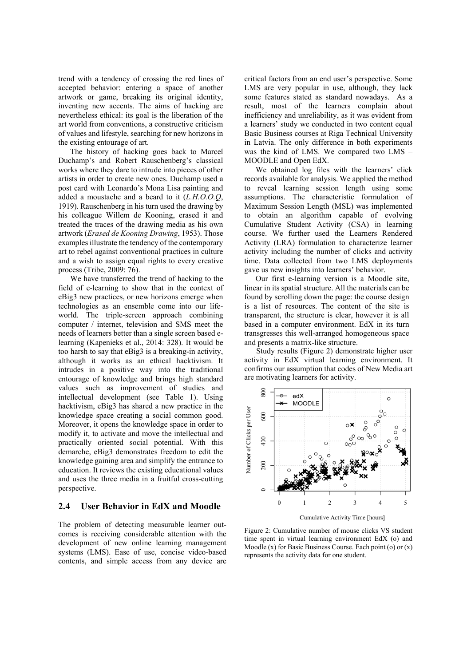trend with a tendency of crossing the red lines of accepted behavior: entering a space of another artwork or game, breaking its original identity, inventing new accents. The aims of hacking are nevertheless ethical: its goal is the liberation of the art world from conventions, a constructive criticism of values and lifestyle, searching for new horizons in the existing entourage of art.

The history of hacking goes back to Marcel Duchamp's and Robert Rauschenberg's classical works where they dare to intrude into pieces of other artists in order to create new ones. Duchamp used a post card with Leonardo's Mona Lisa painting and added a moustache and a beard to it (*L.H.O.O.Q*, 1919). Rauschenberg in his turn used the drawing by his colleague Willem de Kooning, erased it and treated the traces of the drawing media as his own artwork (*Erased de Kooning Drawing*, 1953). Those examples illustrate the tendency of the contemporary art to rebel against conventional practices in culture and a wish to assign equal rights to every creative process (Tribe, 2009: 76).

We have transferred the trend of hacking to the field of e-learning to show that in the context of eBig3 new practices, or new horizons emerge when technologies as an ensemble come into our lifeworld. The triple-screen approach combining computer / internet, television and SMS meet the needs of learners better than a single screen based elearning (Kapenieks et al., 2014: 328). It would be too harsh to say that eBig3 is a breaking-in activity, although it works as an ethical hacktivism. It intrudes in a positive way into the traditional entourage of knowledge and brings high standard values such as improvement of studies and intellectual development (see Table 1). Using hacktivism, eBig3 has shared a new practice in the knowledge space creating a social common good. Moreover, it opens the knowledge space in order to modify it, to activate and move the intellectual and practically oriented social potential. With this demarche, eBig3 demonstrates freedom to edit the knowledge gaining area and simplify the entrance to education. It reviews the existing educational values and uses the three media in a fruitful cross-cutting perspective.

#### **2.4 User Behavior in EdX and Moodle**

The problem of detecting measurable learner outcomes is receiving considerable attention with the development of new online learning management systems (LMS). Ease of use, concise video-based contents, and simple access from any device are

critical factors from an end user's perspective. Some LMS are very popular in use, although, they lack some features stated as standard nowadays. As a result, most of the learners complain about inefficiency and unreliability, as it was evident from a learners' study we conducted in two content equal Basic Business courses at Riga Technical University in Latvia. The only difference in both experiments was the kind of LMS. We compared two LMS – MOODLE and Open EdX.

We obtained log files with the learners' click records available for analysis. We applied the method to reveal learning session length using some assumptions. The characteristic formulation of Maximum Session Length (MSL) was implemented to obtain an algorithm capable of evolving Cumulative Student Activity (CSA) in learning course. We further used the Learners Rendered Activity (LRA) formulation to characterize learner activity including the number of clicks and activity time. Data collected from two LMS deployments gave us new insights into learners' behavior.

Our first e-learning version is a Moodle site, linear in its spatial structure. All the materials can be found by scrolling down the page: the course design is a list of resources. The content of the site is transparent, the structure is clear, however it is all based in a computer environment. EdX in its turn transgresses this well-arranged homogeneous space and presents a matrix-like structure.

Study results (Figure 2) demonstrate higher user activity in EdX virtual learning environment. It confirms our assumption that codes of New Media art are motivating learners for activity.



Figure 2: Cumulative number of mouse clicks VS student time spent in virtual learning environment EdX (o) and Moodle  $(x)$  for Basic Business Course. Each point  $(o)$  or  $(x)$ represents the activity data for one student.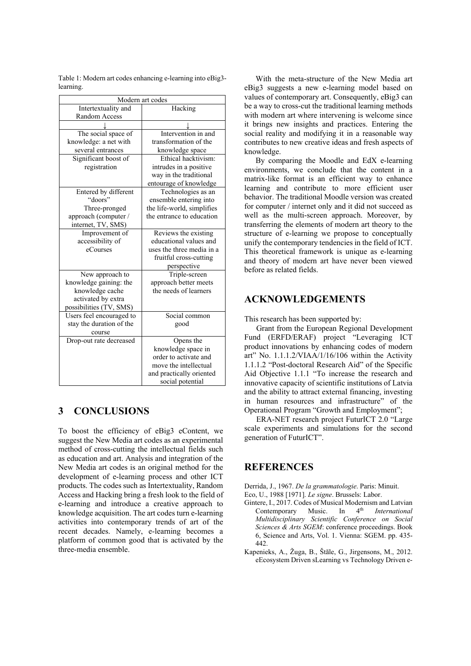| Modern art codes                                     |                                             |
|------------------------------------------------------|---------------------------------------------|
| Intertextuality and                                  | Hacking                                     |
| Random Access                                        |                                             |
|                                                      |                                             |
| The social space of                                  | Intervention in and                         |
| knowledge: a net with                                | transformation of the                       |
| several entrances                                    | knowledge space                             |
| Significant boost of                                 | Ethical hacktivism:                         |
| registration                                         | intrudes in a positive                      |
|                                                      | way in the traditional                      |
|                                                      | entourage of knowledge                      |
| Entered by different                                 | Technologies as an                          |
| "doors"                                              | ensemble entering into                      |
| Three-pronged                                        | the life-world, simplifies                  |
| approach (computer /                                 | the entrance to education                   |
| internet, TV, SMS)                                   |                                             |
| Improvement of                                       | Reviews the existing                        |
| accessibility of                                     | educational values and                      |
| eCourses                                             | uses the three media in a                   |
|                                                      | fruitful cross-cutting                      |
|                                                      | perspective                                 |
| New approach to                                      | Triple-screen                               |
| knowledge gaining: the                               | approach better meets                       |
| knowledge cache                                      | the needs of learners                       |
| activated by extra                                   |                                             |
| possibilities (TV, SMS)                              |                                             |
| Users feel encouraged to<br>stay the duration of the | Social common                               |
|                                                      | good                                        |
| course                                               |                                             |
| Drop-out rate decreased                              | Opens the                                   |
|                                                      | knowledge space in<br>order to activate and |
|                                                      | move the intellectual                       |
|                                                      | and practically oriented                    |
|                                                      | social potential                            |
|                                                      |                                             |

Table 1: Modern art codes enhancing e-learning into eBig3 learning.

# **3 CONCLUSIONS**

To boost the efficiency of eBig3 eContent, we suggest the New Media art codes as an experimental method of cross-cutting the intellectual fields such as education and art. Analysis and integration of the New Media art codes is an original method for the development of e-learning process and other ICT products. The codes such as Intertextuality, Random Access and Hacking bring a fresh look to the field of e-learning and introduce a creative approach to knowledge acquisition. The art codes turn e-learning activities into contemporary trends of art of the recent decades. Namely, e-learning becomes a platform of common good that is activated by the three-media ensemble.

With the meta-structure of the New Media art eBig3 suggests a new e-learning model based on values of contemporary art. Consequently, eBig3 can be a way to cross-cut the traditional learning methods with modern art where intervening is welcome since it brings new insights and practices. Entering the social reality and modifying it in a reasonable way contributes to new creative ideas and fresh aspects of knowledge.

By comparing the Moodle and EdX e-learning environments, we conclude that the content in a matrix-like format is an efficient way to enhance learning and contribute to more efficient user behavior. The traditional Moodle version was created for computer / internet only and it did not succeed as well as the multi-screen approach. Moreover, by transferring the elements of modern art theory to the structure of e-learning we propose to conceptually unify the contemporary tendencies in the field of ICT. This theoretical framework is unique as e-learning and theory of modern art have never been viewed before as related fields.

## **ACKNOWLEDGEMENTS**

This research has been supported by:

Grant from the European Regional Development Fund (ERFD/ERAF) project "Leveraging ICT product innovations by enhancing codes of modern art" No. 1.1.1.2/VIAA/1/16/106 within the Activity 1.1.1.2 "Post-doctoral Research Aid" of the Specific Aid Objective 1.1.1 "To increase the research and innovative capacity of scientific institutions of Latvia and the ability to attract external financing, investing in human resources and infrastructure" of the Operational Program "Growth and Employment";

ERA-NET research project FuturICT 2.0 "Large scale experiments and simulations for the second generation of FuturICT".

## **REFERENCES**

- Derrida, J., 1967. *De la grammatologie*. Paris: Minuit.
- Eco, U., 1988 [1971]. *Le signe*. Brussels: Labor.
- Gintere, I., 2017. Codes of Musical Modernism and Latvian Contemporary Music. In 4<sup>th</sup> *International Multidisciplinary Scientific Conference on Social Sciences & Arts SGEM*: conference proceedings. Book 6, Science and Arts, Vol. 1. Vienna: SGEM. pp. 435- 442.
- Kapenieks, A., Žuga, B., Štāle, G., Jirgensons, M., 2012. eEcosystem Driven sLearning vs Technology Driven e-